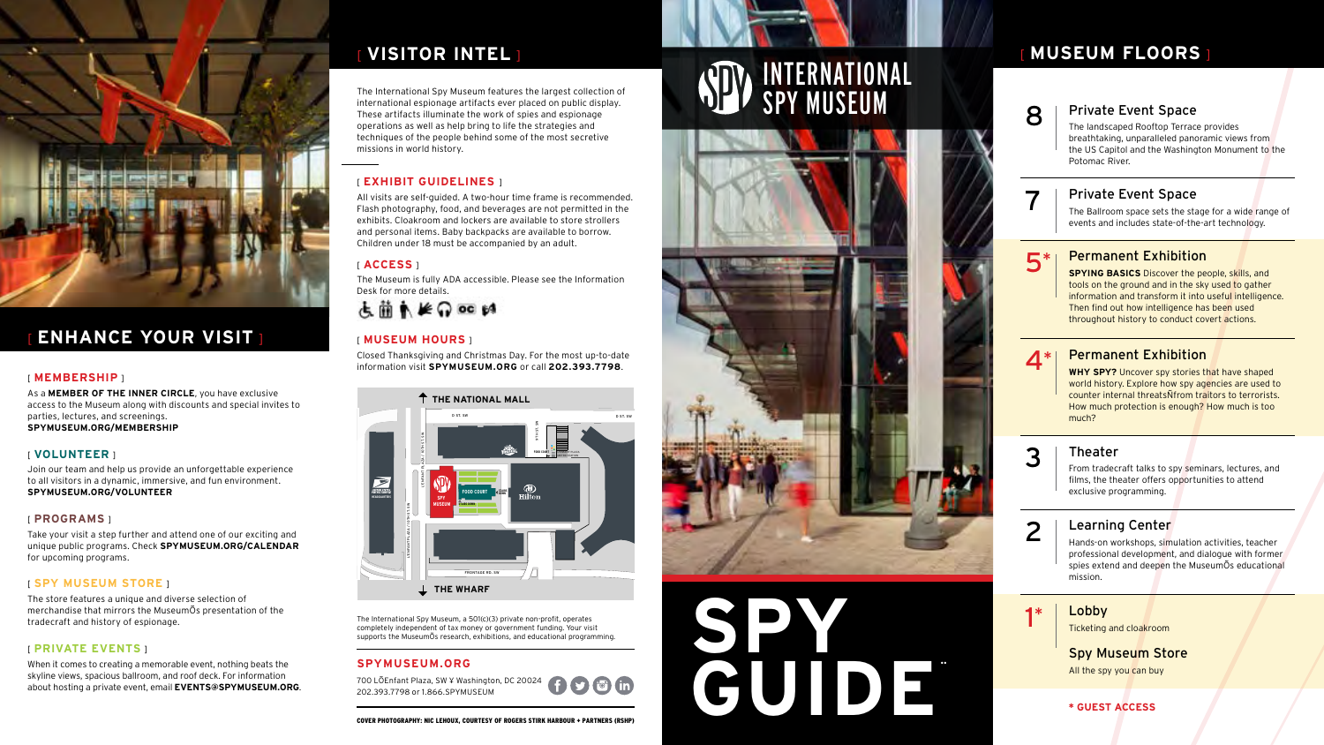The International Spy Museum, a 501(c)(3) private non-profit, operates completely independent of tax money or government funding. Your visit supports the MuseumÕs research, exhibitions, and educational programming.

### **SPYMUSEUM.ORG**

700 LÕEnfant Plaza, SW ¥ Washington, DC 20024 202.393.7798 or 1.866.SPYMUSEUM

The International Spy Museum features the largest collection of international espionage artifacts ever placed on public display. These artifacts illuminate the work of spies and espionage operations as well as help bring to life the strategies and techniques of the people behind some of the most secretive missions in world history.

### [ **EXHIBIT GUIDELINES** ]

All visits are self-guided. A two-hour time frame is recommended. Flash photography, food, and beverages are not permitted in the exhibits. Cloakroom and lockers are available to store strollers and personal items. Baby backpacks are available to borrow. Children under 18 must be accompanied by an adult.

### [ **ACCESS** ]

The Museum is fully ADA accessible. Please see the Information Desk for more details.

# **志蘭東长命 00 时**

### [ **MUSEUM HOURS** ]

Closed Thanksgiving and Christmas Day. For the most up-to-date information visit **SPYMUSEUM.ORG** or call **202.393.7798**.

### [ **MEMBERSHIP** ]

As a **MEMBER OF THE INNER CIRCLE**, you have exclusive access to the Museum along with discounts and special invites to parties, lectures, and screenings. **SPYMUSEUM.ORG/MEMBERSHIP**

### [ **VOLUNTEER** ]

Join our team and help us provide an unforgettable experience to all visitors in a dynamic, immersive, and fun environment. **SPYMUSEUM.ORG/VOLUNTEER**

### [ **PROGRAMS** ]

Take your visit a step further and attend one of our exciting and unique public programs. Check **SPYMUSEUM.ORG/CALENDAR** for upcoming programs.

| <b>Private Event Space</b><br>The landscaped Rooftop Terrace provides<br>breathtaking, unparalleled panoramic views from<br>the US Capitol and the Washington Monument to the<br>Potomac River.                                                                                                      |
|------------------------------------------------------------------------------------------------------------------------------------------------------------------------------------------------------------------------------------------------------------------------------------------------------|
| <b>Private Event Space</b><br>The Ballroom space sets the stage for a wide range of<br>events and includes state-of-the-art technology.                                                                                                                                                              |
| <b>Permanent Exhibition</b><br><b>SPYING BASICS</b> Discover the people, skills, and<br>tools on the ground and in the sky used to gather<br>information and transform it into useful intelligence.<br>Then find out how intelligence has been used<br>throughout history to conduct covert actions. |
| <b>Permanent Exhibition</b><br>WHY SPY? Uncover spy stories that have shaped<br>world history. Explore how spy agencies are used to<br>counter internal threatsNfrom traitors to terrorists.<br>How much protection is enough? How much is too<br>much?                                              |
| <b>Theater</b><br>From tradecraft talks to spy seminars, lectures, and<br>films, the theater offers opportunities to attend<br>exclusive programming.                                                                                                                                                |
| Learning Center<br>Hands-on workshops, simulation activities, teacher<br>professional development, and dialogue with former<br>spies extend and deepen the MuseumOs educational<br>mission.                                                                                                          |
| Lobby<br><b>Ticketing and cloakroom</b><br><b>Spy Museum Store</b><br>All the spy you can buy                                                                                                                                                                                                        |
| * GUEST ACCESS                                                                                                                                                                                                                                                                                       |

### [ **SPY MUSEUM STORE** ]

The store features a unique and diverse selection of merchandise that mirrors the MuseumÕs presentation of the tradecraft and history of espionage.

### [ **PRIVATE EVENTS** ]

When it comes to creating a memorable event, nothing beats the skyline views, spacious ballroom, and roof deck. For information about hosting a private event, email **EVENTS@SPYMUSEUM.ORG**.

# [ **MUSEUM FLOORS** ]

**SPY** 

**GUIDE**¨

# INTERNATIONAL SPY MUSEUM



#### COVER PHOTOGRAPHY: NIC LEHOUX, COURTESY OF ROGERS STIRK HARBOUR + PARTNERS (RSHP)

 $\bigcap$   $\bigcirc$   $\bigcirc$   $\bigcirc$   $\bigcirc$ 

# [ **VISITOR INTEL** ]



# [ **ENHANCE YOUR VISIT** ]